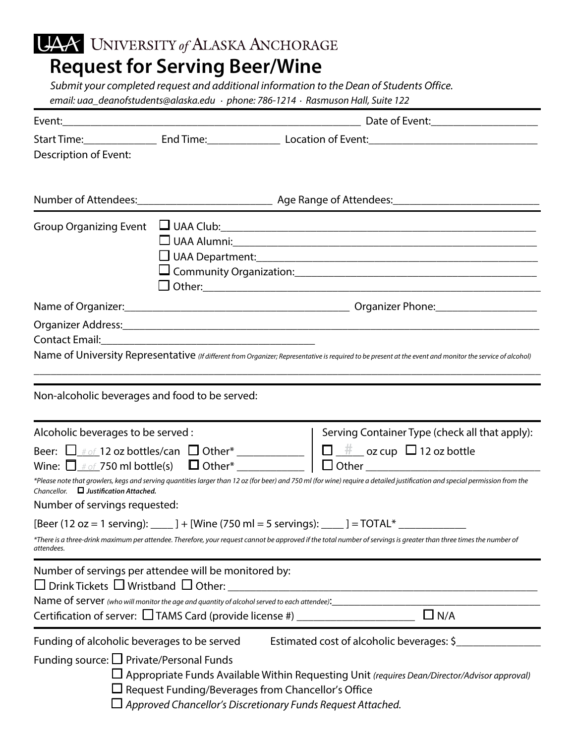UAA UNIVERSITY of ALASKA ANCHORAGE

## **Request for Serving Beer/Wine**

*Submit your completed request and additional information to the Dean of Students Office. email:* uaa\_deanofstudents*@alaska.edu . phone: 786-1214 .* Rasmuson Hall*, Suite* 122

|                                                                                                                                                                                                                                                                              |                                                    |  |                                                               | Start Time:_______________________End Time:_____________________Location of Event:____________________________  |  |  |  |
|------------------------------------------------------------------------------------------------------------------------------------------------------------------------------------------------------------------------------------------------------------------------------|----------------------------------------------------|--|---------------------------------------------------------------|-----------------------------------------------------------------------------------------------------------------|--|--|--|
| Description of Event:                                                                                                                                                                                                                                                        |                                                    |  |                                                               |                                                                                                                 |  |  |  |
|                                                                                                                                                                                                                                                                              |                                                    |  |                                                               |                                                                                                                 |  |  |  |
|                                                                                                                                                                                                                                                                              |                                                    |  |                                                               |                                                                                                                 |  |  |  |
| <b>Group Organizing Event</b>                                                                                                                                                                                                                                                | $\Box$ UAA Club: $\Box$                            |  |                                                               |                                                                                                                 |  |  |  |
|                                                                                                                                                                                                                                                                              |                                                    |  |                                                               |                                                                                                                 |  |  |  |
|                                                                                                                                                                                                                                                                              |                                                    |  |                                                               | Organizer Address: 1988 and 2009 and 2009 and 2010 and 2010 and 2010 and 2010 and 2010 and 2010 and 2010 and 20 |  |  |  |
|                                                                                                                                                                                                                                                                              |                                                    |  |                                                               |                                                                                                                 |  |  |  |
| Name of University Representative (If different from Organizer; Representative is required to be present at the event and monitor the service of alcohol)<br>,我们也不会有什么。""我们的人,我们也不会有什么?""我们的人,我们也不会有什么?""我们的人,我们也不会有什么?""我们的人,我们也不会有什么?""我们的人                                |                                                    |  |                                                               |                                                                                                                 |  |  |  |
| Non-alcoholic beverages and food to be served:                                                                                                                                                                                                                               |                                                    |  |                                                               |                                                                                                                 |  |  |  |
| Alcoholic beverages to be served :                                                                                                                                                                                                                                           |                                                    |  |                                                               | Serving Container Type (check all that apply):                                                                  |  |  |  |
|                                                                                                                                                                                                                                                                              |                                                    |  |                                                               |                                                                                                                 |  |  |  |
| *Please note that growlers, kegs and serving quantities larger than 12 oz (for beer) and 750 ml (for wine) require a detailed justification and special permission from the                                                                                                  |                                                    |  |                                                               |                                                                                                                 |  |  |  |
| Chancellor. $\Box$ Justification Attached.                                                                                                                                                                                                                                   |                                                    |  |                                                               |                                                                                                                 |  |  |  |
| Number of servings requested:                                                                                                                                                                                                                                                |                                                    |  |                                                               |                                                                                                                 |  |  |  |
| [Beer (12 oz = 1 serving): $\qquad$ ] + [Wine (750 ml = 5 servings): $\qquad$ ] = TOTAL*<br>*There is a three-drink maximum per attendee. Therefore, your request cannot be approved if the total number of servings is greater than three times the number of<br>attendees. |                                                    |  |                                                               |                                                                                                                 |  |  |  |
| Number of servings per attendee will be monitored by:<br>$\Box$ Drink Tickets $\Box$ Wristband $\Box$ Other:<br>Name of server (who will monitor the age and quantity of alcohol served to each attendee):<br>                                                               |                                                    |  | <u> 1989 - Andrea Stadt British, fransk politik (d. 1989)</u> | $\Box$ N/A                                                                                                      |  |  |  |
| Funding of alcoholic beverages to be served<br>Estimated cost of alcoholic beverages: \$                                                                                                                                                                                     |                                                    |  |                                                               |                                                                                                                 |  |  |  |
| Funding source: $□$ Private/Personal Funds                                                                                                                                                                                                                                   | Request Funding/Beverages from Chancellor's Office |  | Approved Chancellor's Discretionary Funds Request Attached.   | $\Box$ Appropriate Funds Available Within Requesting Unit (requires Dean/Director/Advisor approval)             |  |  |  |